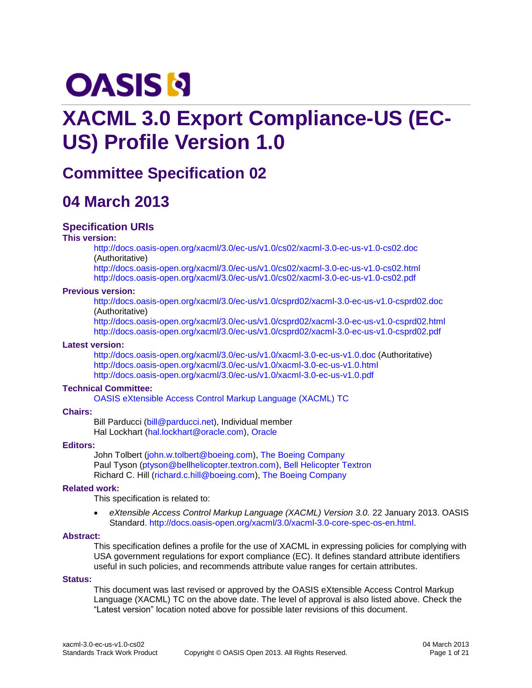# **OASIS N**

# **XACML 3.0 Export Compliance-US (EC-US) Profile Version 1.0**

# **Committee Specification 02**

# **04 March 2013**

### **Specification URIs**

#### **This version:**

<http://docs.oasis-open.org/xacml/3.0/ec-us/v1.0/cs02/xacml-3.0-ec-us-v1.0-cs02.doc> (Authoritative)

<http://docs.oasis-open.org/xacml/3.0/ec-us/v1.0/cs02/xacml-3.0-ec-us-v1.0-cs02.html> <http://docs.oasis-open.org/xacml/3.0/ec-us/v1.0/cs02/xacml-3.0-ec-us-v1.0-cs02.pdf>

#### **Previous version:**

<http://docs.oasis-open.org/xacml/3.0/ec-us/v1.0/csprd02/xacml-3.0-ec-us-v1.0-csprd02.doc> (Authoritative)

<http://docs.oasis-open.org/xacml/3.0/ec-us/v1.0/csprd02/xacml-3.0-ec-us-v1.0-csprd02.html> <http://docs.oasis-open.org/xacml/3.0/ec-us/v1.0/csprd02/xacml-3.0-ec-us-v1.0-csprd02.pdf>

#### **Latest version:**

<http://docs.oasis-open.org/xacml/3.0/ec-us/v1.0/xacml-3.0-ec-us-v1.0.doc> (Authoritative) <http://docs.oasis-open.org/xacml/3.0/ec-us/v1.0/xacml-3.0-ec-us-v1.0.html> <http://docs.oasis-open.org/xacml/3.0/ec-us/v1.0/xacml-3.0-ec-us-v1.0.pdf>

#### **Technical Committee:**

[OASIS eXtensible Access Control Markup Language \(XACML\)](http://www.oasis-open.org/committees/xacml/) TC

#### **Chairs:**

Bill Parducci [\(bill@parducci.net\)](mailto:bill@parducci.net), Individual member Hal Lockhart [\(hal.lockhart@oracle.com\)](mailto:hal.lockhart@oracle.com), [Oracle](http://www.oracle.com/)

#### **Editors:**

John Tolbert [\(john.w.tolbert@boeing.com\)](mailto:john.w.tolbert@boeing.com), [The Boeing Company](http://www.boeing.com) Paul Tyson [\(ptyson@bellhelicopter.textron.com\)](mailto:ptyson@bellhelicopter.textron.com), [Bell Helicopter Textron](http://www.bellhelicopter.com/) Richard C. Hill [\(richard.c.hill@boeing.com\)](mailto:richard.c.hill@boeing.com), [The Boeing Company](http://www.boeing.com)

#### **Related work:**

This specification is related to:

 *eXtensible Access Control Markup Language (XACML) Version 3.0.* 22 January 2013. OASIS Standard. [http://docs.oasis-open.org/xacml/3.0/xacml-3.0-core-spec-os-en.html.](http://docs.oasis-open.org/xacml/3.0/xacml-3.0-core-spec-os-en.html)

#### **Abstract:**

This specification defines a profile for the use of XACML in expressing policies for complying with USA government regulations for export compliance (EC). It defines standard attribute identifiers useful in such policies, and recommends attribute value ranges for certain attributes.

#### **Status:**

This document was last revised or approved by the OASIS eXtensible Access Control Markup Language (XACML) TC on the above date. The level of approval is also listed above. Check the "Latest version" location noted above for possible later revisions of this document.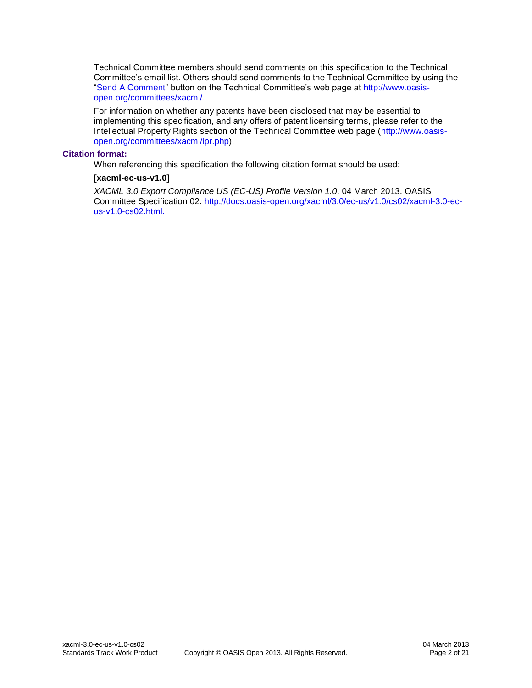Technical Committee members should send comments on this specification to the Technical Committee's email list. Others should send comments to the Technical Committee by using the ["Send A Comment"](http://www.oasis-open.org/committees/comments/index.php?wg_abbrev=xacml) button on the Technical Committee's web page at [http://www.oasis](http://www.oasis-open.org/committees/xacml/)[open.org/committees/xacml/.](http://www.oasis-open.org/committees/xacml/)

For information on whether any patents have been disclosed that may be essential to implementing this specification, and any offers of patent licensing terms, please refer to the Intellectual Property Rights section of the Technical Committee web page [\(http://www.oasis](http://www.oasis-open.org/committees/xacml/ipr.php)[open.org/committees/xacml/ipr.php\)](http://www.oasis-open.org/committees/xacml/ipr.php).

#### **Citation format:**

When referencing this specification the following citation format should be used:

#### **[xacml-ec-us-v1.0]**

*XACML 3.0 Export Compliance US (EC-US) Profile Version 1.0*. 04 March 2013. OASIS Committee Specification 02. [http://docs.oasis-open.org/xacml/3.0/ec-us/v1.0/cs02/xacml-3.0-ec](http://docs.oasis-open.org/xacml/3.0/ec-us/v1.0/cs02/xacml-3.0-ec-us-v1.0-cs02.html)[us-v1.0-cs02.html.](http://docs.oasis-open.org/xacml/3.0/ec-us/v1.0/cs02/xacml-3.0-ec-us-v1.0-cs02.html)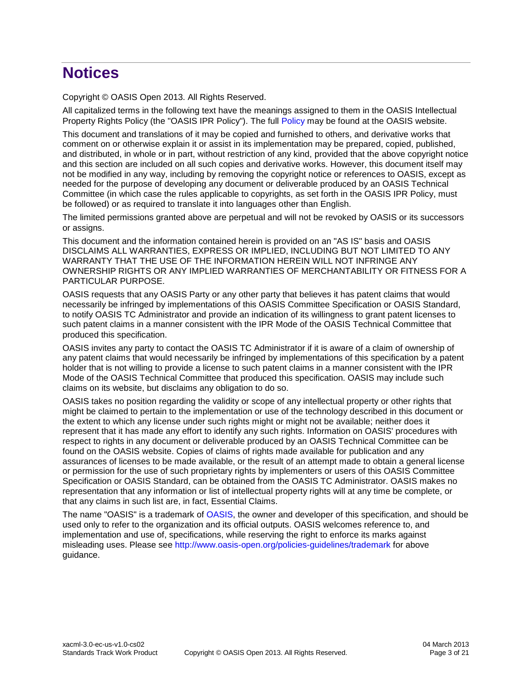# **Notices**

Copyright © OASIS Open 2013. All Rights Reserved.

All capitalized terms in the following text have the meanings assigned to them in the OASIS Intellectual Property Rights Policy (the "OASIS IPR Policy"). The full [Policy](http://www.oasis-open.org/policies-guidelines/ipr) may be found at the OASIS website.

This document and translations of it may be copied and furnished to others, and derivative works that comment on or otherwise explain it or assist in its implementation may be prepared, copied, published, and distributed, in whole or in part, without restriction of any kind, provided that the above copyright notice and this section are included on all such copies and derivative works. However, this document itself may not be modified in any way, including by removing the copyright notice or references to OASIS, except as needed for the purpose of developing any document or deliverable produced by an OASIS Technical Committee (in which case the rules applicable to copyrights, as set forth in the OASIS IPR Policy, must be followed) or as required to translate it into languages other than English.

The limited permissions granted above are perpetual and will not be revoked by OASIS or its successors or assigns.

This document and the information contained herein is provided on an "AS IS" basis and OASIS DISCLAIMS ALL WARRANTIES, EXPRESS OR IMPLIED, INCLUDING BUT NOT LIMITED TO ANY WARRANTY THAT THE USE OF THE INFORMATION HEREIN WILL NOT INFRINGE ANY OWNERSHIP RIGHTS OR ANY IMPLIED WARRANTIES OF MERCHANTABILITY OR FITNESS FOR A PARTICULAR PURPOSE.

OASIS requests that any OASIS Party or any other party that believes it has patent claims that would necessarily be infringed by implementations of this OASIS Committee Specification or OASIS Standard, to notify OASIS TC Administrator and provide an indication of its willingness to grant patent licenses to such patent claims in a manner consistent with the IPR Mode of the OASIS Technical Committee that produced this specification.

OASIS invites any party to contact the OASIS TC Administrator if it is aware of a claim of ownership of any patent claims that would necessarily be infringed by implementations of this specification by a patent holder that is not willing to provide a license to such patent claims in a manner consistent with the IPR Mode of the OASIS Technical Committee that produced this specification. OASIS may include such claims on its website, but disclaims any obligation to do so.

OASIS takes no position regarding the validity or scope of any intellectual property or other rights that might be claimed to pertain to the implementation or use of the technology described in this document or the extent to which any license under such rights might or might not be available; neither does it represent that it has made any effort to identify any such rights. Information on OASIS' procedures with respect to rights in any document or deliverable produced by an OASIS Technical Committee can be found on the OASIS website. Copies of claims of rights made available for publication and any assurances of licenses to be made available, or the result of an attempt made to obtain a general license or permission for the use of such proprietary rights by implementers or users of this OASIS Committee Specification or OASIS Standard, can be obtained from the OASIS TC Administrator. OASIS makes no representation that any information or list of intellectual property rights will at any time be complete, or that any claims in such list are, in fact, Essential Claims.

The name "OASIS" is a trademark of [OASIS,](http://www.oasis-open.org/) the owner and developer of this specification, and should be used only to refer to the organization and its official outputs. OASIS welcomes reference to, and implementation and use of, specifications, while reserving the right to enforce its marks against misleading uses. Please see<http://www.oasis-open.org/policies-guidelines/trademark> for above guidance.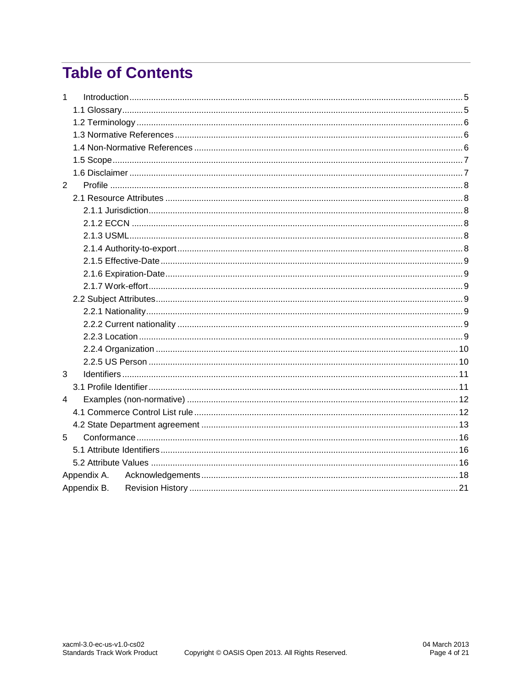# **Table of Contents**

| $\mathbf{1}$ |             |  |
|--------------|-------------|--|
|              |             |  |
|              |             |  |
|              |             |  |
|              |             |  |
|              |             |  |
|              |             |  |
| 2            |             |  |
|              |             |  |
|              |             |  |
|              |             |  |
|              |             |  |
|              |             |  |
|              |             |  |
|              |             |  |
|              |             |  |
|              |             |  |
|              |             |  |
|              |             |  |
|              |             |  |
|              |             |  |
|              |             |  |
| 3            |             |  |
|              |             |  |
| 4            |             |  |
|              |             |  |
|              |             |  |
| 5            |             |  |
|              |             |  |
|              |             |  |
|              | Appendix A. |  |
|              | Appendix B. |  |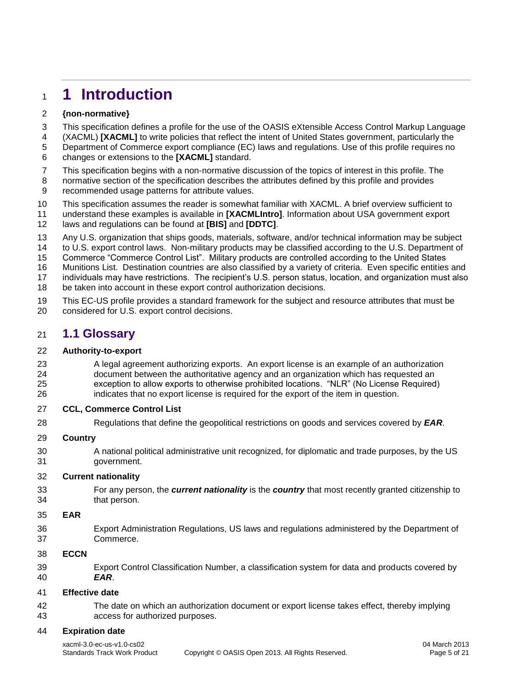# <span id="page-4-0"></span>**1 Introduction**

### **{non-normative}**

- This specification defines a profile for the use of the OASIS eXtensible Access Control Markup Language
- (XACML) **[\[XACML\]](#page-5-3)** to write policies that reflect the intent of United States government, particularly the
- Department of Commerce export compliance (EC) laws and regulations. Use of this profile requires no changes or extensions to the **[\[XACML\]](#page-5-3)** standard.
- This specification begins with a non-normative discussion of the topics of interest in this profile. The
- normative section of the specification describes the attributes defined by this profile and provides recommended usage patterns for attribute values.
- This specification assumes the reader is somewhat familiar with XACML. A brief overview sufficient to
- understand these examples is available in **[\[XACMLIntro\]](#page-6-2)**. Information about USA government export laws and regulations can be found at **[BIS]** and **[DDTC]**.
- 
- Any U.S. organization that ships goods, materials, software, and/or technical information may be subject
- to U.S. export control laws. Non-military products may be classified according to the U.S. Department of Commerce "Commerce Control List". Military products are controlled according to the United States
- Munitions List. Destination countries are also classified by a variety of criteria. Even specific entities and
- individuals may have restrictions. The recipient's U.S. person status, location, and organization must also
- be taken into account in these export control authorization decisions.
- This EC-US profile provides a standard framework for the subject and resource attributes that must be considered for U.S. export control decisions.

# <span id="page-4-1"></span>**1.1 Glossary**

### **Authority-to-export**

 A legal agreement authorizing exports. An export license is an example of an authorization document between the authoritative agency and an organization which has requested an exception to allow exports to otherwise prohibited locations. "NLR" (No License Required) indicates that no export license is required for the export of the item in question.

### **CCL, Commerce Control List**

Regulations that define the geopolitical restrictions on goods and services covered by *EAR*.

### **Country**

 A national political administrative unit recognized, for diplomatic and trade purposes, by the US government.

### **Current nationality**

 For any person, the *current nationality* is the *country* that most recently granted citizenship to that person.

### **EAR**

 Export Administration Regulations, US laws and regulations administered by the Department of Commerce.

### **ECCN**

 Export Control Classification Number, a classification system for data and products covered by *EAR*.

### **Effective date**

 The date on which an authorization document or export license takes effect, thereby implying access for authorized purposes.

### **Expiration date**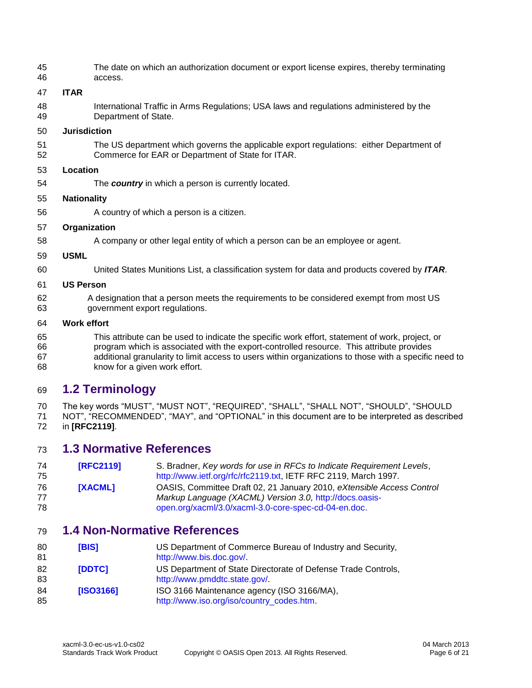The date on which an authorization document or export license expires, thereby terminating access.

#### **ITAR**

 International Traffic in Arms Regulations; USA laws and regulations administered by the Department of State.

#### **Jurisdiction**

 The US department which governs the applicable export regulations: either Department of Commerce for EAR or Department of State for ITAR.

#### **Location**

The *country* in which a person is currently located.

#### **Nationality**

A country of which a person is a citizen.

#### **Organization**

A company or other legal entity of which a person can be an employee or agent.

#### **USML**

United States Munitions List, a classification system for data and products covered by *ITAR*.

#### **US Person**

 A designation that a person meets the requirements to be considered exempt from most US government export regulations.

#### **Work effort**

 This attribute can be used to indicate the specific work effort, statement of work, project, or program which is associated with the export-controlled resource. This attribute provides additional granularity to limit access to users within organizations to those with a specific need to know for a given work effort.

# <span id="page-5-0"></span>**1.2 Terminology**

70 The key words "MUST", "MUST NOT", "REQUIRED", "SHALL", "SHALL NOT", "SHOULD", "SHOULD<br>71 NOT", "RECOMMENDED", "MAY", and "OPTIONAL" in this document are to be interpreted as describe NOT", "RECOMMENDED", "MAY", and "OPTIONAL" in this document are to be interpreted as described in **[\[RFC2119\]](#page-5-4)**.

### <span id="page-5-1"></span>**1.3 Normative References**

<span id="page-5-4"></span><span id="page-5-3"></span>

| 74 | <b>[RFC2119]</b> | S. Bradner, Key words for use in RFCs to Indicate Requirement Levels, |
|----|------------------|-----------------------------------------------------------------------|
| 75 |                  | http://www.ietf.org/rfc/rfc2119.txt, IETF RFC 2119, March 1997.       |
| 76 | [XACML]          | OASIS, Committee Draft 02, 21 January 2010, eXtensible Access Control |
| 77 |                  | Markup Language (XACML) Version 3.0, http://docs.oasis-               |
| 78 |                  | open.org/xacml/3.0/xacml-3.0-core-spec-cd-04-en.doc.                  |

# <span id="page-5-2"></span>**1.4 Non-Normative References**

| 80<br>81 | [BIS]         | US Department of Commerce Bureau of Industry and Security,<br>http://www.bis.doc.gov/         |
|----------|---------------|-----------------------------------------------------------------------------------------------|
| 82<br>83 | <b>IDDTC1</b> | US Department of State Directorate of Defense Trade Controls,<br>http://www.pmddtc.state.gov/ |
| 84<br>85 | [ISO3166]     | ISO 3166 Maintenance agency (ISO 3166/MA),<br>http://www.iso.org/iso/country_codes.htm        |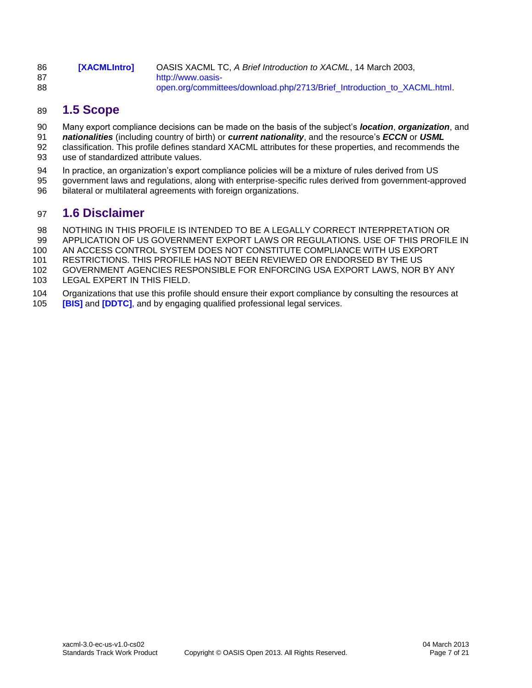<span id="page-6-2"></span>

| 86 | <b>IXACMLIntrol</b> | OASIS XACML TC, A Brief Introduction to XACML, 14 March 2003,           |
|----|---------------------|-------------------------------------------------------------------------|
| 87 |                     | http://www.oasis-                                                       |
| 88 |                     | open.org/committees/download.php/2713/Brief_Introduction_to_XACML.html. |

# <span id="page-6-0"></span>**1.5 Scope**

- Many export compliance decisions can be made on the basis of the subject's *location*, *organization*, and
- *nationalities* (including country of birth) or *current nationality*, and the resource's *ECCN* or *USML*
- classification. This profile defines standard XACML attributes for these properties, and recommends the use of standardized attribute values.
- In practice, an organization's export compliance policies will be a mixture of rules derived from US
- government laws and regulations, along with enterprise-specific rules derived from government-approved
- bilateral or multilateral agreements with foreign organizations.

# <span id="page-6-1"></span>**1.6 Disclaimer**

- NOTHING IN THIS PROFILE IS INTENDED TO BE A LEGALLY CORRECT INTERPRETATION OR
- APPLICATION OF US GOVERNMENT EXPORT LAWS OR REGULATIONS. USE OF THIS PROFILE IN
- AN ACCESS CONTROL SYSTEM DOES NOT CONSTITUTE COMPLIANCE WITH US EXPORT
- RESTRICTIONS. THIS PROFILE HAS NOT BEEN REVIEWED OR ENDORSED BY THE US
- GOVERNMENT AGENCIES RESPONSIBLE FOR ENFORCING USA EXPORT LAWS, NOR BY ANY
- LEGAL EXPERT IN THIS FIELD.
- Organizations that use this profile should ensure their export compliance by consulting the resources at
- **[\[BIS\]](http://www.bis.doc.gov/)** and **[\[DDTC\]](http://www.pmddtc.state.gov/)**, and by engaging qualified professional legal services.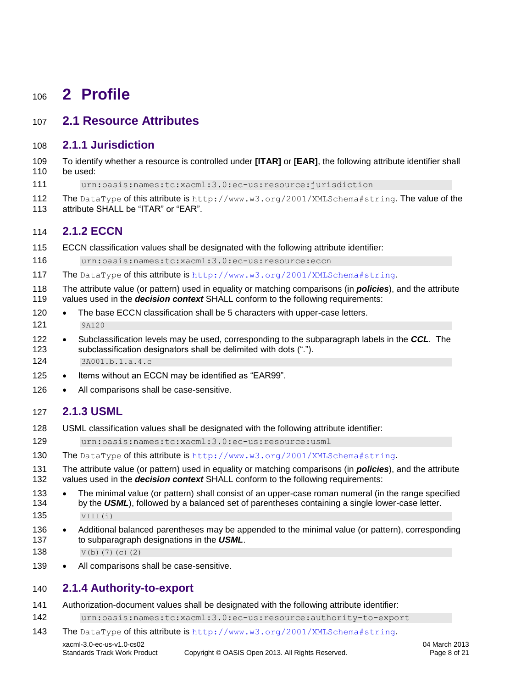# <span id="page-7-0"></span>**2 Profile**

# <span id="page-7-1"></span>**2.1 Resource Attributes**

# <span id="page-7-2"></span>**2.1.1 Jurisdiction**

- To identify whether a resource is controlled under **[ITAR]** or **[EAR]**, the following attribute identifier shall be used:
- urn:oasis:names:tc:xacml:3.0:ec-us:resource:jurisdiction
- 112 The DataType of this attribute is http://www.w3.org/2001/XMLSchema#string. The value of the
- attribute SHALL be "ITAR" or "EAR".

### <span id="page-7-3"></span>**2.1.2 ECCN**

ECCN classification values shall be designated with the following attribute identifier:

urn:oasis:names:tc:xacml:3.0:ec-us:resource:eccn

- The DataType of this attribute is <http://www.w3.org/2001/XMLSchema#string>.
- The attribute value (or pattern) used in equality or matching comparisons (in *policies*), and the attribute values used in the *decision context* SHALL conform to the following requirements:
- 120 The base ECCN classification shall be 5 characters with upper-case letters. 9A120
- 122 Subclassification levels may be used, corresponding to the subparagraph labels in the **CCL**. The subclassification designators shall be delimited with dots ("."). 3A001.b.1.a.4.c
- 125 Items without an ECCN may be identified as "EAR99".
- 126 All comparisons shall be case-sensitive.

# <span id="page-7-4"></span>**2.1.3 USML**

- USML classification values shall be designated with the following attribute identifier:
- urn:oasis:names:tc:xacml:3.0:ec-us:resource:usml
- The DataType of this attribute is <http://www.w3.org/2001/XMLSchema#string>.

 The attribute value (or pattern) used in equality or matching comparisons (in *policies*), and the attribute values used in the *decision context* SHALL conform to the following requirements:

133 • The minimal value (or pattern) shall consist of an upper-case roman numeral (in the range specified 134 by the **USML**), followed by a balanced set of parentheses containing a single lower-case letter. VIII(i)

- 136 Additional balanced parentheses may be appended to the minimal value (or pattern), corresponding to subparagraph designations in the *USML*.
- 138  $V(b)(7)(c)(2)$
- 139 All comparisons shall be case-sensitive.

### <span id="page-7-5"></span>**2.1.4 Authority-to-export**

- Authorization-document values shall be designated with the following attribute identifier:
- urn:oasis:names:tc:xacml:3.0:ec-us:resource:authority-to-export
- The DataType of this attribute is <http://www.w3.org/2001/XMLSchema#string>.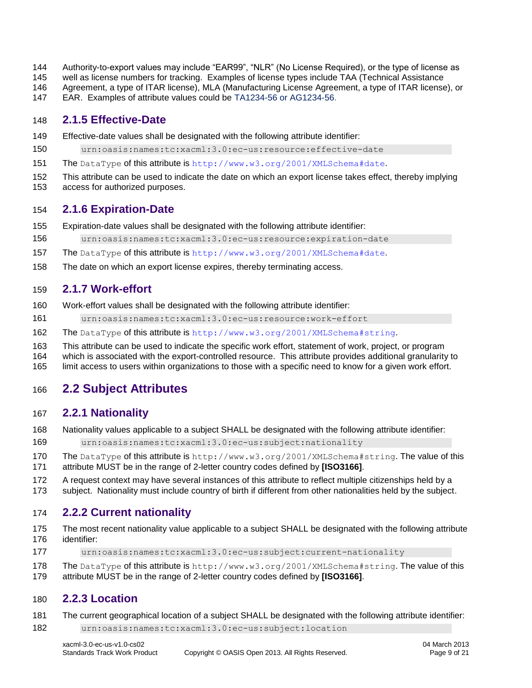- Authority-to-export values may include "EAR99", "NLR" (No License Required), or the type of license as
- well as license numbers for tracking. Examples of license types include TAA (Technical Assistance
- Agreement, a type of ITAR license), MLA (Manufacturing License Agreement, a type of ITAR license), or
- EAR. Examples of attribute values could be TA1234-56 or AG1234-56.

### <span id="page-8-0"></span>**2.1.5 Effective-Date**

- Effective-date values shall be designated with the following attribute identifier:
- urn:oasis:names:tc:xacml:3.0:ec-us:resource:effective-date
- The DataType of this attribute is <http://www.w3.org/2001/XMLSchema#date>.
- This attribute can be used to indicate the date on which an export license takes effect, thereby implying
- access for authorized purposes.

### <span id="page-8-1"></span>**2.1.6 Expiration-Date**

- Expiration-date values shall be designated with the following attribute identifier:
- urn:oasis:names:tc:xacml:3.0:ec-us:resource:expiration-date
- 157 The DataType of this attribute is <http://www.w3.org/2001/XMLSchema#date>.
- The date on which an export license expires, thereby terminating access.

# <span id="page-8-2"></span>**2.1.7 Work-effort**

- Work-effort values shall be designated with the following attribute identifier:
- urn:oasis:names:tc:xacml:3.0:ec-us:resource:work-effort
- The DataType of this attribute is <http://www.w3.org/2001/XMLSchema#string>.
- This attribute can be used to indicate the specific work effort, statement of work, project, or program
- which is associated with the export-controlled resource. This attribute provides additional granularity to
- limit access to users within organizations to those with a specific need to know for a given work effort.

# <span id="page-8-3"></span>**2.2 Subject Attributes**

### <span id="page-8-4"></span>**2.2.1 Nationality**

- Nationality values applicable to a subject SHALL be designated with the following attribute identifier:
- urn:oasis:names:tc:xacml:3.0:ec-us:subject:nationality
- 170 The DataType of this attribute is http://www.w3.org/2001/XMLSchema#string. The value of this attribute MUST be in the range of 2-letter country codes defined by **[ISO3166]**.
- A request context may have several instances of this attribute to reflect multiple citizenships held by a
- subject. Nationality must include country of birth if different from other nationalities held by the subject.

# <span id="page-8-5"></span>**2.2.2 Current nationality**

- The most recent nationality value applicable to a subject SHALL be designated with the following attribute identifier:
- urn:oasis:names:tc:xacml:3.0:ec-us:subject:current-nationality
- 178 The DataType of this attribute is http://www.w3.org/2001/XMLSchema#string. The value of this
- attribute MUST be in the range of 2-letter country codes defined by **[ISO3166]**.

# <span id="page-8-6"></span>**2.2.3 Location**

- The current geographical location of a subject SHALL be designated with the following attribute identifier:
- urn:oasis:names:tc:xacml:3.0:ec-us:subject:location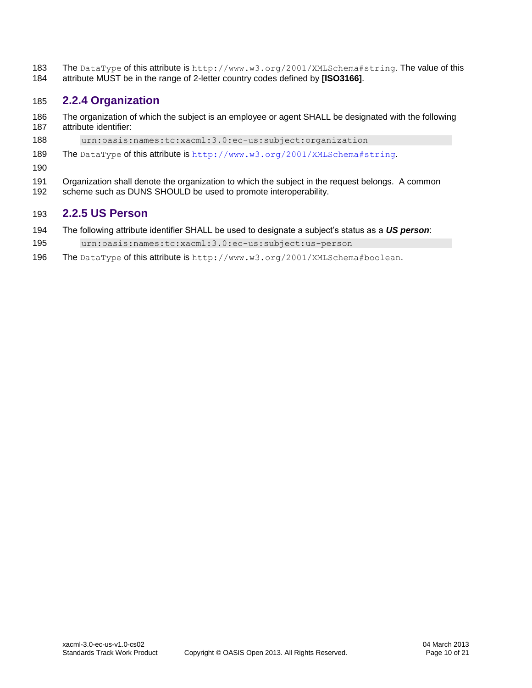The DataType of this attribute is http://www.w3.org/2001/XMLSchema#string. The value of this attribute MUST be in the range of 2-letter country codes defined by **[ISO3166]**.

# <span id="page-9-0"></span>**2.2.4 Organization**

- The organization of which the subject is an employee or agent SHALL be designated with the following attribute identifier:
- urn:oasis:names:tc:xacml:3.0:ec-us:subject:organization
- The DataType of this attribute is <http://www.w3.org/2001/XMLSchema#string>.
- 
- 191 Organization shall denote the organization to which the subject in the request belongs. A common
- 192 scheme such as DUNS SHOULD be used to promote interoperability.

# <span id="page-9-1"></span>**2.2.5 US Person**

- The following attribute identifier SHALL be used to designate a subject's status as a *US person*:
- urn:oasis:names:tc:xacml:3.0:ec-us:subject:us-person
- The DataType of this attribute is http://www.w3.org/2001/XMLSchema#boolean.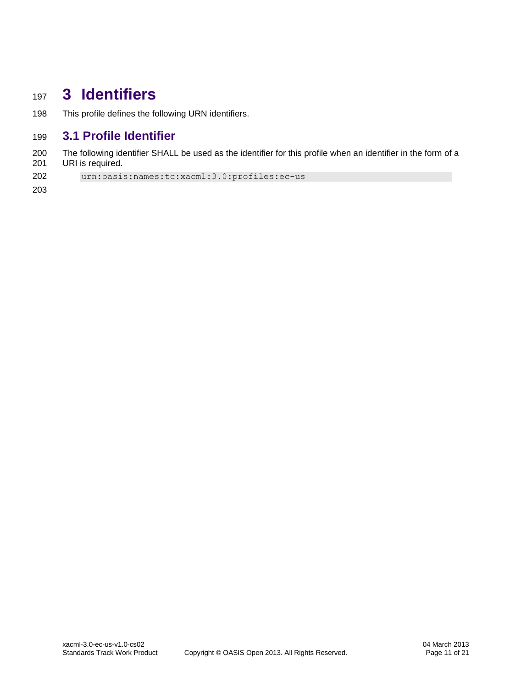# <span id="page-10-0"></span>**3 Identifiers**

This profile defines the following URN identifiers.

# <span id="page-10-1"></span>**3.1 Profile Identifier**

 The following identifier SHALL be used as the identifier for this profile when an identifier in the form of a URI is required.

urn:oasis:names:tc:xacml:3.0:profiles:ec-us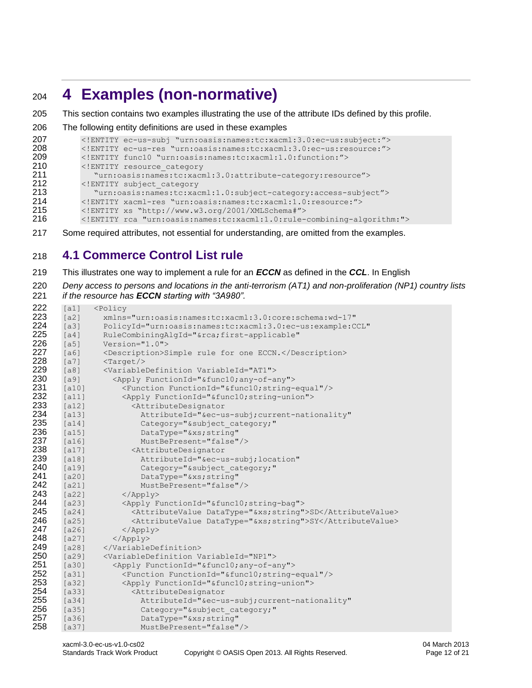# <span id="page-11-0"></span>**4 Examples (non-normative)**

```
205 This section contains two examples illustrating the use of the attribute IDs defined by this profile.
```

```
206 The following entity definitions are used in these examples
```

| 207 | ENTITY ec-us-subj "urn:oasis:names:tc:xacml:3.0:ec-us:subject:"     |
|-----|---------------------------------------------------------------------|
| 208 | ENTITY ec-us-res "urn:oasis:names:tc:xacml:3.0:ec-us:resource:"     |
| 209 | ENTITY func10 "urn:oasis:names:tc:xacml:1.0:function:"              |
| 210 | ENTITY resource category</th                                        |
| 211 | "urn:oasis:names:tc:xacml:3.0:attribute-category:resource">         |
| 212 | ENTITY subject category</th                                         |
| 213 | "urn:oasis:names:tc:xacml:1.0:subject-category:access-subject">     |
| 214 | ENTITY xacml-res "urn: oasis: names: tc: xacml: 1.0: resource: "    |
| 215 | ENTITY xs "http://www.w3.org/2001/XMLSchema#"                       |
| 216 | ENTITY rca "urn:oasis:names:tc:xacml:1.0:rule-combining-algorithm:" |
|     |                                                                     |

Some required attributes, not essential for understanding, are omitted from the examples.

# <span id="page-11-1"></span>**4.1 Commerce Control List rule**

- This illustrates one way to implement a rule for an *ECCN* as defined in the *CCL*. In English
- *Deny access to persons and locations in the anti-terrorism (AT1) and non-proliferation (NP1) country lists*
- *if the resource has ECCN starting with "3A980".*

| 222 | [a1]    | <policy< th=""></policy<>                                      |
|-----|---------|----------------------------------------------------------------|
| 223 | [a2]    | xmlns="urn:oasis:names:tc:xacml:3.0:core:schema:wd-17"         |
| 224 | [a3]    | PolicyId="urn:oasis:names:tc:xacml:3.0:ec-us:example:CCL"      |
| 225 | [a4]    | RuleCombiningAlgId="&rcafirst-applicable"                      |
| 226 | [a5]    | $Version="1.0"$                                                |
| 227 | [a6]    | <description>Simple rule for one ECCN.</description>           |
| 228 | [a7]    | $\frac{1}{2}$                                                  |
| 229 | [a8]    | <variabledefinition variableid="AT1"></variabledefinition>     |
| 230 | [a9]    | <apply functionid="&amp;func10;any-of-any"></apply>            |
| 231 | [a10]   | <function functionid="&amp;func10; string-equal"></function>   |
| 232 | [a11]   | <apply functionid="&amp;func10;string-union"></apply>          |
| 233 | [a12]   | <attributedesignator< th=""></attributedesignator<>            |
| 234 | [a13]   | AttributeId="&ec-us-subjcurrent-nationality"                   |
| 235 | [a14]   | Category="&subject category;"                                  |
| 236 | $[a15]$ | DataType="&xs string"                                          |
| 237 | $[a16]$ | MustBePresent="false"/>                                        |
| 238 | [a17]   | <attributedesignator< th=""></attributedesignator<>            |
| 239 | [a18]   | AttributeId="&ec-us-subjlocation"                              |
| 240 | [a19]   | Category="&subject category;"                                  |
| 241 | $[a20]$ | DataType="&xs string"                                          |
| 242 | [a21]   | MustBePresent="false"/>                                        |
| 243 | $[a22]$ | $\langle \text{Apply} \rangle$                                 |
| 244 | $[a23]$ | <apply functionid="&amp;func10; string-bag"></apply>           |
| 245 | $[a24]$ | <attributevalue datatype="&amp;xs; string">SD</attributevalue> |
| 246 | $[a25]$ | <attributevalue datatype="&amp;xs; string">SY</attributevalue> |
| 247 | [a26]   | $\langle$ /Apply>                                              |
| 248 | $[a27]$ | $\langle$ /Apply>                                              |
| 249 | $[a28]$ |                                                                |
| 250 | $[a29]$ | <variabledefinition variableid="NP1"></variabledefinition>     |
| 251 | [a30]   | <apply functionid="&amp;func10;any-of-any"></apply>            |
| 252 | [a31]   | <function functionid="&amp;func10;string-equal"></function>    |
| 253 | $[a32]$ | <apply functionid="&amp;func10; string-union"></apply>         |
| 254 | $[a33]$ | <attributedesignator< th=""></attributedesignator<>            |
| 255 | [a34]   | AttributeId="&ec-us-subjcurrent-nationality"                   |
| 256 | $[a35]$ | Category="&subject category;"                                  |
| 257 | $[a36]$ | DataType="&xs string"                                          |
| 258 | [a37]   | MustBePresent="false"/>                                        |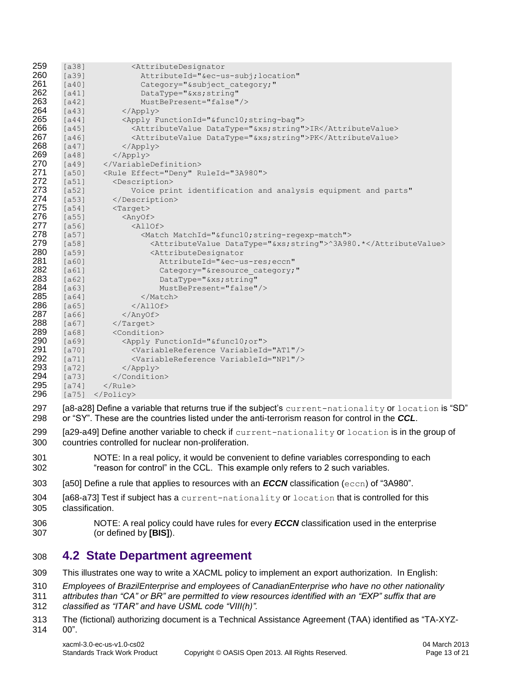| 259 | $[a38]$ | <attributedesignator< th=""></attributedesignator<>                 |
|-----|---------|---------------------------------------------------------------------|
| 260 | $[a39]$ | AttributeId="&ec-us-subjlocation"                                   |
| 261 | [a40]   | Category="&subject category;"                                       |
| 262 | [a41]   | DataType="&xs string"                                               |
| 263 | [a42]   | MustBePresent="false"/>                                             |
| 264 | [a43]   | $\langle$ /Apply>                                                   |
| 265 | [a44]   | <apply functionid="&amp;func10;string-bag"></apply>                 |
| 266 | $[a45]$ | <attributevalue datatype="&amp;xs;string">IR</attributevalue>       |
| 267 | $[a46]$ | <attributevalue datatype="&amp;xs; string">PK</attributevalue>      |
| 268 | $[a47]$ | $\langle$ /Apply>                                                   |
| 269 | $[a48]$ | $\langle$ /Apply>                                                   |
| 270 | $[a49]$ |                                                                     |
| 271 | $[a50]$ | <rule effect="Deny" ruleid="3A980"></rule>                          |
| 272 | [a51]   | <description></description>                                         |
| 273 | $[a52]$ | Voice print identification and analysis equipment and parts"        |
| 274 | $[a53]$ |                                                                     |
| 275 | [a54]   | $<$ Target>                                                         |
| 276 | $[a55]$ | $\langle$ AnyOf>                                                    |
| 277 | $[a56]$ | $\langle \text{AllOf} \rangle$                                      |
| 278 | $[a57]$ | <match matchid="&amp;func10; string-regexp-match"></match>          |
| 279 | $[a58]$ | <attributevalue datatype="&amp;xs;string">^3A980.*</attributevalue> |
| 280 | $[a59]$ | <attributedesignator< th=""></attributedesignator<>                 |
| 281 | $[a60]$ | AttributeId="&ec-us-reseccn"                                        |
| 282 | [a61]   | Category="&resource category;"                                      |
| 283 | $[a62]$ | DataType="&xsstring"                                                |
| 284 | $[a63]$ | MustBePresent="false"/>                                             |
| 285 | [a64]   | $\langle$ /Match>                                                   |
| 286 | $[a65]$ | $\langle$ /AllOf>                                                   |
| 287 | $[a66]$ | $\langle$ /AnyOf>                                                   |
| 288 | $[a67]$ | $\langle$ Target>                                                   |
| 289 | $[a68]$ | <condition></condition>                                             |
| 290 | $[a69]$ | <apply functionid="&amp;func10;or"></apply>                         |
| 291 | $[a70]$ | <variablereference variableid="AT1"></variablereference>            |
| 292 | $[a71]$ | <variablereference variableid="NP1"></variablereference>            |
| 293 | $[a72]$ | $\langle \text{Apply} \rangle$                                      |
| 294 | $[a73]$ |                                                                     |
| 295 | $[a74]$ | $\langle$ /Rule>                                                    |
| 296 | [a75]   | $\langle$ /Policy>                                                  |

297 [a8-a28] Define a variable that returns true if the subject's current-nationality or location is "SD" or "SY". These are the countries listed under the anti-terrorism reason for control in the *CCL*.

- 299 [a29-a49] Define another variable to check if current-nationality or location is in the group of countries controlled for nuclear non-proliferation.
- NOTE: In a real policy, it would be convenient to define variables corresponding to each "reason for control" in the CCL. This example only refers to 2 such variables.
- [a50] Define a rule that applies to resources with an *ECCN* classification (eccn) of "3A980".
- [a68-a73] Test if subject has a current-nationality or location that is controlled for this classification.
- NOTE: A real policy could have rules for every *ECCN* classification used in the enterprise (or defined by **[BIS]**).

# <span id="page-12-0"></span>**4.2 State Department agreement**

- This illustrates one way to write a XACML policy to implement an export authorization. In English:
- *Employees of BrazilEnterprise and employees of CanadianEnterprise who have no other nationality*
- *attributes than "CA" or BR" are permitted to view resources identified with an "EXP" suffix that are*
- *classified as "ITAR" and have USML code "VIII(h)".*
- The (fictional) authorizing document is a Technical Assistance Agreement (TAA) identified as "TA-XYZ-00".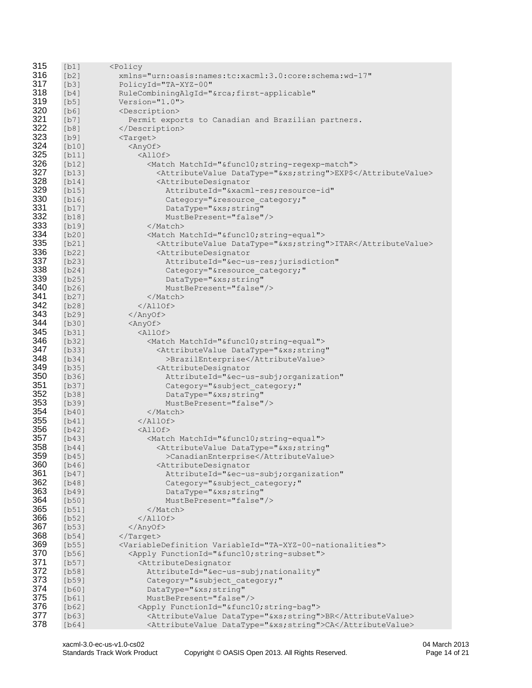| 315 | [b1]    | <policy< th=""></policy<>                                                      |
|-----|---------|--------------------------------------------------------------------------------|
| 316 | [b2]    | xmlns="urn:oasis:names:tc:xacml:3.0:core:schema:wd-17"                         |
| 317 | [b3]    | PolicyId="TA-XYZ-00"                                                           |
| 318 | [b4]    | RuleCombiningAlgId="&rcafirst-applicable"                                      |
| 319 | [b5]    | $Version="1.0"$                                                                |
| 320 | [b6]    | <description></description>                                                    |
| 321 | [b7]    | Permit exports to Canadian and Brazilian partners.                             |
| 322 | [b8]    |                                                                                |
| 323 | [b9]    | $<$ Target>                                                                    |
| 324 |         |                                                                                |
| 325 | [b10]   | <anyof></anyof>                                                                |
|     | [b11]   | <allof></allof>                                                                |
| 326 | [b12]   | <match matchid="&amp;func10;string-regexp-match"></match>                      |
| 327 | [b13]   | <attributevalue datatype="&amp;xs;string">EXP\$</attributevalue>               |
| 328 | [b14]   | <attributedesignator< th=""></attributedesignator<>                            |
| 329 | [b15]   | AttributeId="&xacml-res resource-id"                                           |
| 330 | [b16]   | Category="&resource category;"                                                 |
| 331 | [b17]   | DataType="&xs string"                                                          |
| 332 | [b18]   | MustBePresent="false"/>                                                        |
| 333 | $[b19]$ |                                                                                |
| 334 | [b20]   | <match matchid="&amp;func10; string-equal"></match>                            |
| 335 | [b21]   | <attributevalue datatype="&amp;xs; string">ITAR</attributevalue>               |
| 336 | [b22]   | <attributedesignator< th=""></attributedesignator<>                            |
| 337 | [b23]   | AttributeId="&ec-us-res jurisdiction"                                          |
| 338 | [b24]   | Category="&resource category;"                                                 |
| 339 | [b25]   | DataType="&xs string"                                                          |
| 340 |         | MustBePresent="false"/>                                                        |
| 341 | [b26]   |                                                                                |
| 342 | [b27]   |                                                                                |
|     | [b28]   | $\langle$ /AllOf>                                                              |
| 343 | $[b29]$ | $\langle$ /AnyOf>                                                              |
| 344 | [b30]   | <anyof></anyof>                                                                |
| 345 | [b31]   | <allof></allof>                                                                |
| 346 | [b32]   | <match matchid="&amp;func10;string-equal"></match>                             |
| 347 | [b33]   | <attributevalue <="" datatype="&amp;xs;string" th=""></attributevalue>         |
| 348 | [b34]   | >BrazilEnterprise                                                              |
| 349 | [b35]   | <attributedesignator< th=""></attributedesignator<>                            |
| 350 | [b36]   | AttributeId="&ec-us-subjorganization"                                          |
| 351 | [b37]   | Category="&subject category;"                                                  |
| 352 | [b38]   | DataType="&xs string"                                                          |
| 353 | $[b39]$ | MustBePresent="false"/>                                                        |
| 354 | [b40]   |                                                                                |
| 355 | [b41]   | $\langle$ /AllOf>                                                              |
| 356 | [b42]   | $\langle \text{AllOf} \rangle$                                                 |
| 357 | [b43]   | <match matchid="&amp;func10; string-equal"></match>                            |
| 358 | [b44]   | <attributevalue <="" datatype="&amp;xs; string" th=""></attributevalue>        |
| 359 | [b45]   | >CanadianEnterprise                                                            |
| 360 | [b46]   | <attributedesignator< th=""></attributedesignator<>                            |
| 361 | $[b47]$ | AttributeId="&ec-us-subjorganization"                                          |
| 362 | [b48]   | Category="&subject category;"                                                  |
| 363 |         |                                                                                |
| 364 | [b49]   | DataType="&xs string"                                                          |
|     | [b50]   | MustBePresent="false"/>                                                        |
| 365 | $[b51]$ |                                                                                |
| 366 | $[b52]$ | $\langle$ /AllOf>                                                              |
| 367 | $[b53]$ | $\langle$ /AnyOf>                                                              |
| 368 | [b54]   | $\langle$ Target>                                                              |
| 369 | $[b55]$ | <variabledefinition variableid="TA-XYZ-00-nationalities"></variabledefinition> |
| 370 | $[b56]$ | <apply functionid="&amp;func10; string-subset"></apply>                        |
| 371 | $[b57]$ | <attributedesignator< th=""></attributedesignator<>                            |
| 372 | [b58]   | AttributeId="&ec-us-subjnationality"                                           |
| 373 | $[b59]$ | Category="&subject category;"                                                  |
| 374 | [b60]   | DataType="&xsstring"                                                           |
| 375 | [b61]   | MustBePresent="false"/>                                                        |
| 376 | [b62]   | <apply functionid="&amp;func10;string-bag"></apply>                            |
| 377 | [b63]   | <attributevalue datatype="&amp;xs; string">BR</attributevalue>                 |
| 378 | [b64]   | <attributevalue datatype="&amp;xs;string">CA</attributevalue>                  |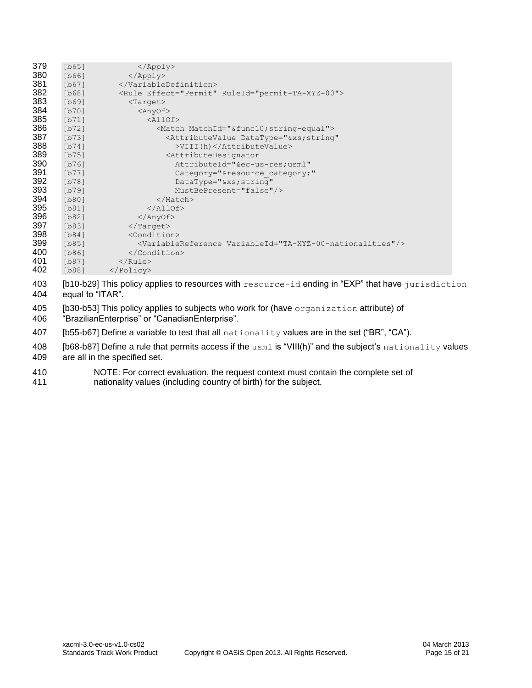| 379 | [b65]   | $\langle \text{Apply} \rangle$                                               |
|-----|---------|------------------------------------------------------------------------------|
| 380 | [b66]   | $\langle$ /Apply>                                                            |
| 381 | [b67]   |                                                                              |
| 382 | [b68]   | <rule effect="Permit" ruleid="permit-TA-XYZ-00"></rule>                      |
| 383 | [b69]   | $<$ Target>                                                                  |
| 384 | $[b70]$ | $\langle$ AnyOf>                                                             |
| 385 | [b71]   | $\langle \text{AllOf} \rangle$                                               |
| 386 | $[b72]$ | <match matchid="&amp;func10; string-equal"></match>                          |
| 387 | $[b73]$ | <attributevalue <="" datatype="&amp;xs; string" th=""></attributevalue>      |
| 388 | [b74]   | >VIII(h)                                                                     |
| 389 | $[b75]$ | <attributedesignator< th=""></attributedesignator<>                          |
| 390 | $[b76]$ | AttributeId="&ec-us-resusml"                                                 |
| 391 | [b77]   | Category="&resource category;"                                               |
| 392 | [b78]   | $DataType="&xs string"$                                                      |
| 393 | $[b79]$ | MustBePresent="false"/>                                                      |
| 394 | [b80]   |                                                                              |
| 395 | [b81]   | $\langle$ /AllOf>                                                            |
| 396 | [b82]   | $\langle$ /AnyOf>                                                            |
| 397 | [b83]   | $\langle$ Target>                                                            |
| 398 | [b84]   | <condition></condition>                                                      |
| 399 | [b85]   | <variablereference variableid="TA-XYZ-00-nationalities"></variablereference> |
| 400 | $[b86]$ |                                                                              |
| 401 | $[b87]$ | $\langle$ /Rule>                                                             |
| 402 | [b88]   |                                                                              |

- 403 [b10-b29] This policy applies to resources with resource-id ending in "EXP" that have jurisdiction equal to "ITAR".
- 405 [b30-b53] This policy applies to subjects who work for (have organization attribute) of "BrazilianEnterprise" or "CanadianEnterprise".
- 407 [b55-b67] Define a variable to test that all nationality values are in the set ("BR", "CA").
- 408 [b68-b87] Define a rule that permits access if the usml is "VIII(h)" and the subject's nationality values are all in the specified set.
- 410 NOTE: For correct evaluation, the request context must contain the complete set of 411 nationality values (including country of birth) for the subject.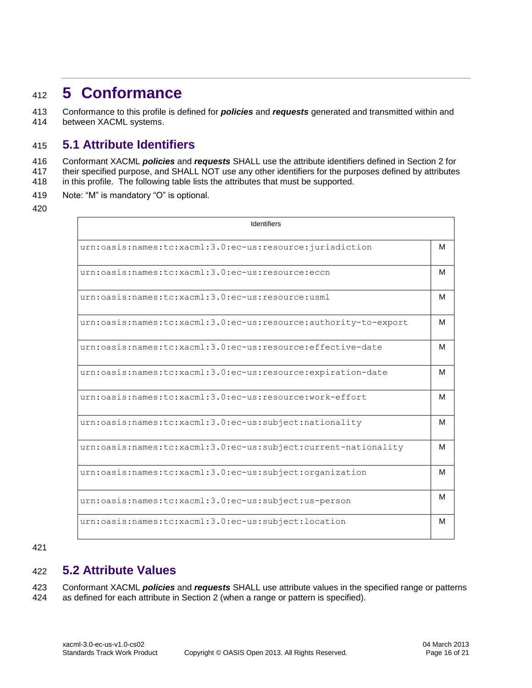# <span id="page-15-0"></span><sup>412</sup> **5 Conformance**

413 Conformance to this profile is defined for *policies* and *requests* generated and transmitted within and 414 between XACML systems.

# <span id="page-15-1"></span>415 **5.1 Attribute Identifiers**

416 Conformant XACML *policies* and *requests* SHALL use the attribute identifiers defined in Section 2 for 417 their specified purpose, and SHALL NOT use any other identifiers for the purposes defined by attributes

- 418 in this profile. The following table lists the attributes that must be supported.
- 419 Note: "M" is mandatory "O" is optional.
- 420

| Identifiers                                                     |   |
|-----------------------------------------------------------------|---|
| urn:oasis:names:tc:xacml:3.0:ec-us:resource:jurisdiction        | м |
| urn:oasis:names:tc:xacml:3.0:ec-us:resource:eccn                | м |
| urn:oasis:names:tc:xacml:3.0:ec-us:resource:usml                | м |
| urn:oasis:names:tc:xacml:3.0:ec-us:resource:authority-to-export | м |
| urn:oasis:names:tc:xacml:3.0:ec-us:resource:effective-date      | м |
| urn:oasis:names:tc:xacml:3.0:ec-us:resource:expiration-date     | м |
| urn:oasis:names:tc:xacml:3.0:ec-us:resource:work-effort         | м |
| urn:oasis:names:tc:xacml:3.0:ec-us:subject:nationality          | м |
| urn:oasis:names:tc:xacml:3.0:ec-us:subject:current-nationality  | м |
| urn:oasis:names:tc:xacml:3.0:ec-us:subject:organization         | м |
| urn:oasis:names:tc:xacml:3.0:ec-us:subject:us-person            | м |
| urn:oasis:names:tc:xacml:3.0:ec-us:subject:location             | м |

#### 421

# <span id="page-15-2"></span>422 **5.2 Attribute Values**

423 Conformant XACML *policies* and *requests* SHALL use attribute values in the specified range or patterns 424 as defined for each attribute in Section 2 (when a range or pattern is specified).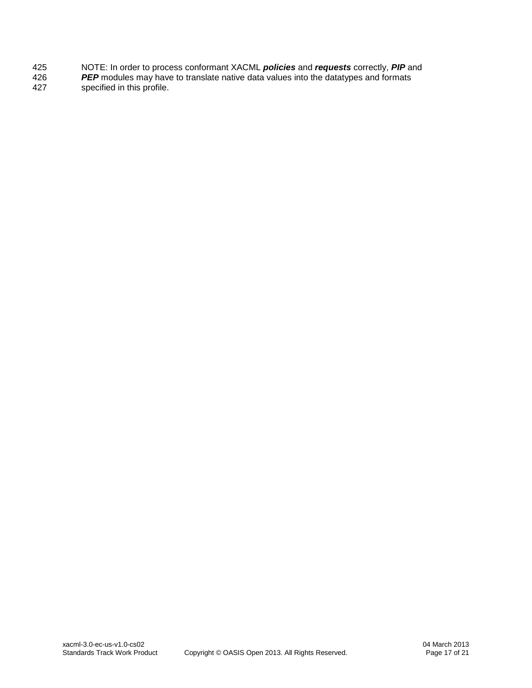- 425 NOTE: In order to process conformant XACML *policies* and *requests* correctly, *PIP* and
- 426 *PEP* modules may have to translate native data values into the datatypes and formats specified in this profile.
-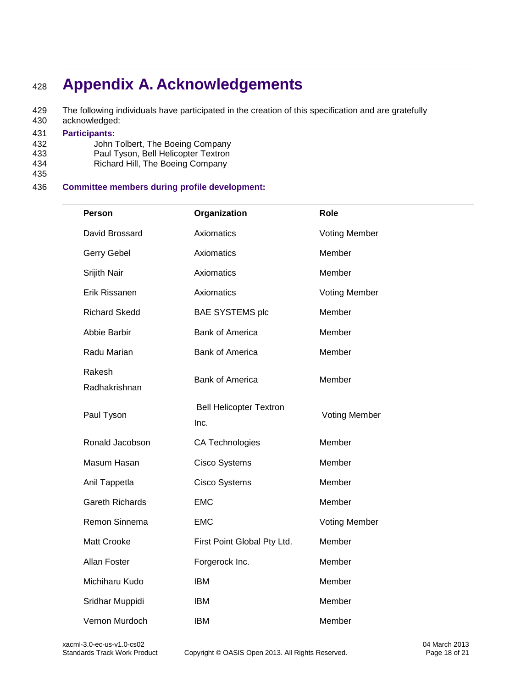# <span id="page-17-0"></span><sup>428</sup> **Appendix A. Acknowledgements**

429 The following individuals have participated in the creation of this specification and are gratefully 430 acknowledged: acknowledged:

# 431 **Participants:**

- John Tolbert, The Boeing Company
- 433 Paul Tyson, Bell Helicopter Textron<br>434 Richard Hill, The Boeing Company
- Richard Hill, The Boeing Company 435

### 436 **Committee members during profile development:**

| Person                  | Organization                           | Role                 |
|-------------------------|----------------------------------------|----------------------|
| David Brossard          | Axiomatics                             | <b>Voting Member</b> |
| Gerry Gebel             | Axiomatics                             | Member               |
| Srijith Nair            | Axiomatics                             | Member               |
| Erik Rissanen           | Axiomatics                             | <b>Voting Member</b> |
| <b>Richard Skedd</b>    | <b>BAE SYSTEMS plc</b>                 | Member               |
| Abbie Barbir            | <b>Bank of America</b>                 | Member               |
| Radu Marian             | <b>Bank of America</b>                 | Member               |
| Rakesh<br>Radhakrishnan | <b>Bank of America</b>                 | Member               |
| Paul Tyson              | <b>Bell Helicopter Textron</b><br>Inc. | <b>Voting Member</b> |
| Ronald Jacobson         | CA Technologies                        | Member               |
| Masum Hasan             | <b>Cisco Systems</b>                   | Member               |
| Anil Tappetla           | <b>Cisco Systems</b>                   | Member               |
| <b>Gareth Richards</b>  | <b>EMC</b>                             | Member               |
| Remon Sinnema           | <b>EMC</b>                             | <b>Voting Member</b> |
| <b>Matt Crooke</b>      | First Point Global Pty Ltd.            | Member               |
| Allan Foster            | Forgerock Inc.                         | Member               |
| Michiharu Kudo          | <b>IBM</b>                             | Member               |
| Sridhar Muppidi         | <b>IBM</b>                             | Member               |
| Vernon Murdoch          | <b>IBM</b>                             | Member               |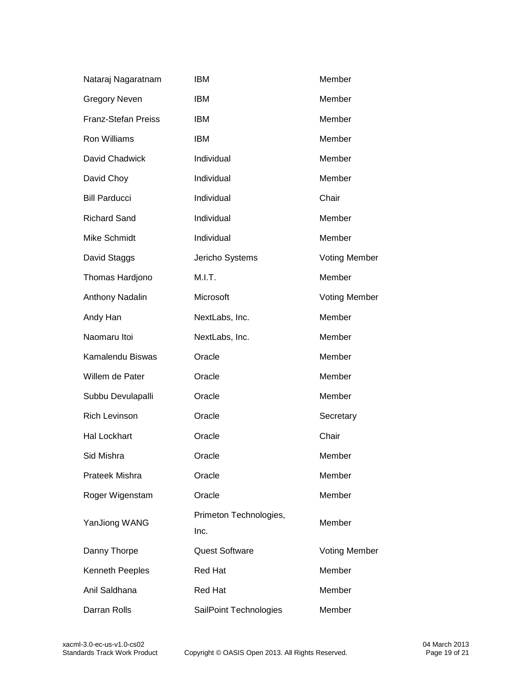| Nataraj Nagaratnam         | <b>IBM</b>                     | Member               |
|----------------------------|--------------------------------|----------------------|
| <b>Gregory Neven</b>       | <b>IBM</b>                     | Member               |
| <b>Franz-Stefan Preiss</b> | <b>IBM</b>                     | Member               |
| <b>Ron Williams</b>        | <b>IBM</b>                     | Member               |
| David Chadwick             | Individual                     | Member               |
| David Choy                 | Individual                     | Member               |
| <b>Bill Parducci</b>       | Individual                     | Chair                |
| <b>Richard Sand</b>        | Individual                     | Member               |
| Mike Schmidt               | Individual                     | Member               |
| David Staggs               | Jericho Systems                | <b>Voting Member</b> |
| Thomas Hardjono            | M.I.T.                         | Member               |
| Anthony Nadalin            | Microsoft                      | <b>Voting Member</b> |
| Andy Han                   | NextLabs, Inc.                 | Member               |
| Naomaru Itoi               | NextLabs, Inc.                 | Member               |
| Kamalendu Biswas           | Oracle                         | Member               |
| Willem de Pater            | Oracle                         | Member               |
| Subbu Devulapalli          | Oracle                         | Member               |
| <b>Rich Levinson</b>       | Oracle                         | Secretary            |
| <b>Hal Lockhart</b>        | Oracle                         | Chair                |
| Sid Mishra                 | Oracle                         | Member               |
| Prateek Mishra             | Oracle                         | Member               |
| Roger Wigenstam            | Oracle                         | Member               |
| YanJiong WANG              | Primeton Technologies,<br>Inc. | Member               |
| Danny Thorpe               | <b>Quest Software</b>          | <b>Voting Member</b> |
| Kenneth Peeples            | <b>Red Hat</b>                 | Member               |
| Anil Saldhana              | <b>Red Hat</b>                 | Member               |
| Darran Rolls               | SailPoint Technologies         | Member               |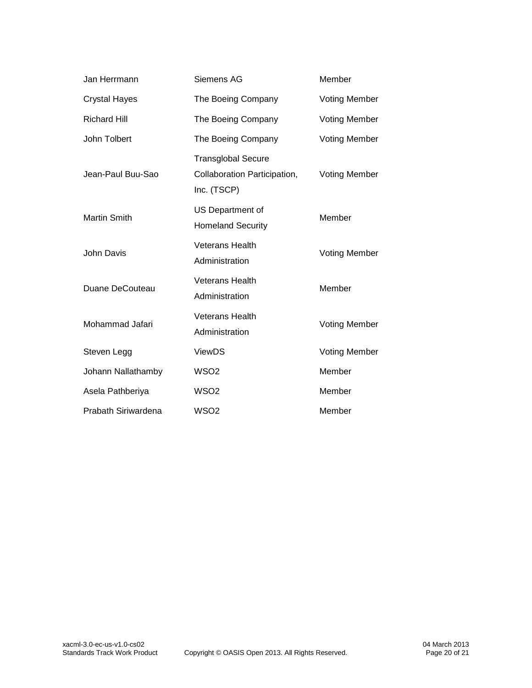| Jan Herrmann         | Member<br>Siemens AG                                                                             |                      |
|----------------------|--------------------------------------------------------------------------------------------------|----------------------|
| <b>Crystal Hayes</b> | The Boeing Company<br><b>Voting Member</b>                                                       |                      |
| <b>Richard Hill</b>  | The Boeing Company<br><b>Voting Member</b>                                                       |                      |
| John Tolbert         | The Boeing Company<br><b>Voting Member</b>                                                       |                      |
| Jean-Paul Buu-Sao    | <b>Transglobal Secure</b><br>Collaboration Participation,<br><b>Voting Member</b><br>Inc. (TSCP) |                      |
| <b>Martin Smith</b>  | US Department of<br>Member<br><b>Homeland Security</b>                                           |                      |
| John Davis           | <b>Veterans Health</b><br>Administration                                                         | <b>Voting Member</b> |
| Duane DeCouteau      | <b>Veterans Health</b><br>Administration                                                         | Member               |
| Mohammad Jafari      | <b>Veterans Health</b><br>Administration                                                         | <b>Voting Member</b> |
| Steven Legg          | <b>ViewDS</b>                                                                                    | <b>Voting Member</b> |
| Johann Nallathamby   | WSO <sub>2</sub>                                                                                 | Member               |
| Asela Pathberiya     | WSO <sub>2</sub><br>Member                                                                       |                      |
| Prabath Siriwardena  | WSO <sub>2</sub>                                                                                 | Member               |